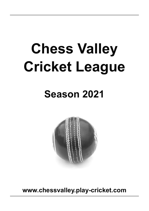# **Chess Valley Cricket League**

# **Season 2021**



**www.chessvalley.play-cricket.com**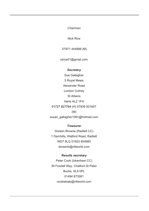*Chairman*

Nick Rice

07971 444888 (M)

njrice01@gmail.com

#### *Secretary*

Sue Gallagher 5 Royal Mews Alexander Road London Colney St Albans Herts AL2 1FH 01727 827764 (H) 07939 501607 (M) susan\_gallagher1061@hotmail.com

# *Treasurer*

Doreen Browne (Radlett CC) 1 Darnhills, Watford Road, Radlett WD7 8LQ 01923 854985 doreenb@ntlworld.com

### *Results secretary*

Peter Cook (Ickenham CC) 39 Foxdell Way, Chalfont St Peter Bucks, SL9 0PL 01494 873581 cookiebats@ntlworld.com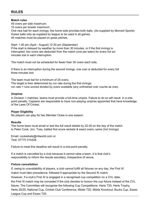# **RULES**

# **Match rules**

45 overs per side maximum;

10 overs per bowler maximum;

One new ball for each innings; the home side provides both balls. (As supplied by Morrant Sports) Dukes balls only as supplied by league to be used in all games. All matches must be played on grass pitches.

Start: 1.00 pm (April - August) 12.30 pm (September) If the start is delayed by weather by more than 30 minutes, or if the first innings is interrupted, two overs are deducted from the match (one per team) for every full six minutes lost in each interruption.

The match must not be scheduled for fewer than 30 overs each side.

If there is an interruption during the second innings, one over is deducted for every full three minutes lost.

The team must bat for a minimum of 25 overs. The target is then determined by run rate during the first innings: run rate = runs scored divided by overs available (any unfinished over counts as one).

# **Umpires**

In Division 1 matches, teams must provide a full-time umpire. Failure to do so will result in a onepoint penalty. Captains are responsible to have non-playing umpires appointed that have knowledge of the Laws Of Cricket.

# **Player Eligibility**

No players can play for two Member Clubs in one season.

# **Results**

The home team must email or text the full result details by 22.00 on the day of the match to Peter Cook: (inc. Toss, batted first score wickets & exact overs, same 2nd Innings)

Email: cookiebats@ntlworld.com or Text: 07770 314428

Failure to meet this deadline will result in a one-point penalty.

If a match is cancelled by a club because it cannot raise a team, it is that club's responsibility to inform the results secretary, irrespective of venue.

# **Fixture cancellation**

If, owing to unavailability of players, a club cannot fulfill all fixtures on any day, the First XI match must take precedence, followed if appropriate by the Second XI match.

However, if a club's First XI is engaged in a recognised cup competition on a CVL date,

the First XI match may be conceded if the club decides to honour the cup fixture instead of the CVL fixture. The Committee will recognise the following Cup Competitions: Herts T20, Herts Trophy, Herts 20/20, National Cup, Cricket Club Conference, Middx T20, Middx Knockout, Bucks Cup, Essex League Cup and Essex T20.